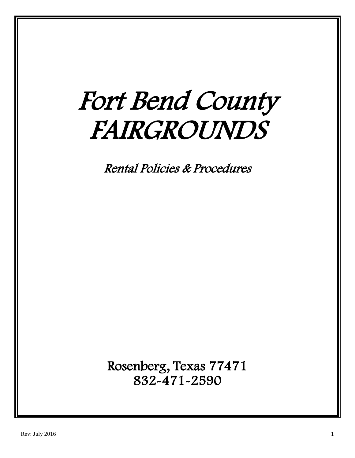# Fort Bend County FAIRGROUNDS

Rental Policies & Procedures

Rosenberg, Texas 77471 832-471-2590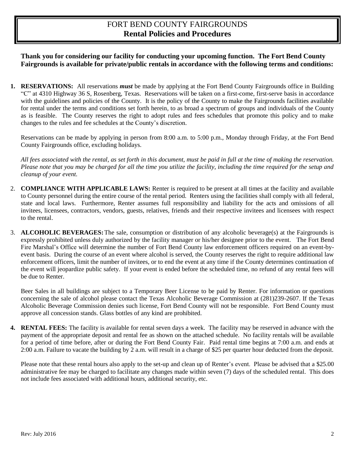## FORT BEND COUNTY FAIRGROUNDS **Rental Policies and Procedures**

### **Thank you for considering our facility for conducting your upcoming function. The Fort Bend County Fairgrounds is available for private/public rentals in accordance with the following terms and conditions:**

**1. RESERVATIONS:** All reservations *must* be made by applying at the Fort Bend County Fairgrounds office in Building "C" at 4310 Highway 36 S, Rosenberg, Texas. Reservations will be taken on a first-come, first-serve basis in accordance with the guidelines and policies of the County. It is the policy of the County to make the Fairgrounds facilities available for rental under the terms and conditions set forth herein, to as broad a spectrum of groups and individuals of the County as is feasible. The County reserves the right to adopt rules and fees schedules that promote this policy and to make changes to the rules and fee schedules at the County's discretion.

Reservations can be made by applying in person from 8:00 a.m. to 5:00 p.m., Monday through Friday, at the Fort Bend County Fairgrounds office, excluding holidays.

*All fees associated with the rental, as set forth in this document, must be paid in full at the time of making the reservation. Please note that you may be charged for all the time you utilize the facility, including the time required for the setup and cleanup of your event.* 

- 2. **COMPLIANCE WITH APPLICABLE LAWS:** Renter is required to be present at all times at the facility and available to County personnel during the entire course of the rental period. Renters using the facilities shall comply with all federal, state and local laws. Furthermore, Renter assumes full responsibility and liability for the acts and omissions of all invitees, licensees, contractors, vendors, guests, relatives, friends and their respective invitees and licensees with respect to the rental.
- 3. **ALCOHOLIC BEVERAGES:**The sale, consumption or distribution of any alcoholic beverage(s) at the Fairgrounds is expressly prohibited unless duly authorized by the facility manager or his/her designee prior to the event. The Fort Bend Fire Marshal's Office will determine the number of Fort Bend County law enforcement officers required on an event-byevent basis. During the course of an event where alcohol is served, the County reserves the right to require additional law enforcement officers, limit the number of invitees, or to end the event at any time if the County determines continuation of the event will jeopardize public safety. If your event is ended before the scheduled time, no refund of any rental fees will be due to Renter.

Beer Sales in all buildings are subject to a Temporary Beer License to be paid by Renter. For information or questions concerning the sale of alcohol please contact the Texas Alcoholic Beverage Commission at (281)239-2607. If the Texas Alcoholic Beverage Commission denies such license, Fort Bend County will not be responsible. Fort Bend County must approve all concession stands. Glass bottles of any kind are prohibited.

**4. RENTAL FEES:** The facility is available for rental seven days a week. The facility may be reserved in advance with the payment of the appropriate deposit and rental fee as shown on the attached schedule. No facility rentals will be available for a period of time before, after or during the Fort Bend County Fair. Paid rental time begins at 7:00 a.m. and ends at 2:00 a.m. Failure to vacate the building by 2 a.m. will result in a charge of \$25 per quarter hour deducted from the deposit.

Please note that these rental hours also apply to the set-up and clean up of Renter's event. Please be advised that a \$25.00 administrative fee may be charged to facilitate any changes made within seven (7) days of the scheduled rental. This does not include fees associated with additional hours, additional security, etc.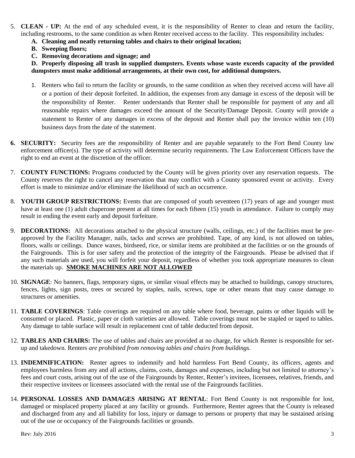- 5. **CLEAN - UP:** At the end of any scheduled event, it is the responsibility of Renter to clean and return the facility, including restrooms, to the same condition as when Renter received access to the facility. This responsibility includes:
	- **A. Cleaning and neatly returning tables and chairs to their original location;**
	- **B. Sweeping floors;**
	- **C. Removing decorations and signage; and**

**D. Properly disposing all trash in supplied dumpsters. Events whose waste exceeds capacity of the provided dumpsters must make additional arrangements, at their own cost, for additional dumpsters.**

- 1. Renters who fail to return the facility or grounds, to the same condition as when they received access will have all or a portion of their deposit forfeited. In addition, the expenses from any damage in excess of the deposit will be the responsibility of Renter. Renter understands that Renter shall be responsible for payment of any and all reasonable repairs where damages exceed the amount of the Security/Damage Deposit. County will provide a statement to Renter of any damages in excess of the deposit and Renter shall pay the invoice within ten (10) business days from the date of the statement.
- **6. SECURITY:** Security fees are the responsibility of Renter and are payable separately to the Fort Bend County law enforcement officer(s). The type of activity will determine security requirements. The Law Enforcement Officers have the right to end an event at the discretion of the officer.
- 7. **COUNTY FUNCTIONS:** Programs conducted by the County will be given priority over any reservation requests. The County reserves the right to cancel any reservation that may conflict with a County sponsored event or activity. Every effort is made to minimize and/or eliminate the likelihood of such an occurrence.
- 8. **YOUTH GROUP RESTRICTIONS:** Events that are composed of youth seventeen (17) years of age and younger must have at least one (1) adult chaperone present at all times for each fifteen (15) youth in attendance. Failure to comply may result in ending the event early and deposit forfeiture.
- 9. **DECORATIONS:** All decorations attached to the physical structure (walls, ceilings, etc.) of the facilities must be preapproved by the Facility Manager, nails, tacks and screws are prohibited. Tape, of any kind, is not allowed on tables, floors, walls or ceilings. Dance waxes, birdseed, rice, or similar items are prohibited at the facilities or on the grounds of the Fairgrounds. This is for user safety and the protection of the integrity of the Fairgrounds. Please be advised that if any such materials are used, you will forfeit your deposit, regardless of whether you took appropriate measures to clean the materials up. **SMOKE MACHINES ARE NOT ALLOWED**
- 10. **SIGNAGE**: No banners, flags, temporary signs, or similar visual effects may be attached to buildings, canopy structures, fences, lights, sign posts, trees or secured by staples, nails, screws, tape or other means that may cause damage to structures or amenities.
- 11. **TABLE COVERINGS**: Table coverings are required on any table where food, beverage, paints or other liquids will be consumed or placed. Plastic, paper or cloth varieties are allowed. Table coverings must not be stapled or taped to tables. Any damage to table surface will result in replacement cost of table deducted from deposit.
- 12. **TABLES AND CHAIRS:** The use of tables and chairs are provided at no charge, for which Renter is responsible for setup and takedown. Renters *are prohibited from removing tables and chairs from buildings.*
- 13. **INDEMNIFICATION:** Renter agrees to indemnify and hold harmless Fort Bend County, its officers, agents and employees harmless from any and all actions, claims, costs, damages and expenses, including but not limited to attorney's fees and court costs, arising out of the use of the Fairgrounds by Renter, Renter's invitees, licensees, relatives, friends, and their respective invitees or licensees associated with the rental use of the Fairgrounds facilities.
- 14. **PERSONAL LOSSES AND DAMAGES ARISING AT RENTAL**: Fort Bend County is not responsible for lost, damaged or misplaced property placed at any facility or grounds. Furthermore, Renter agrees that the County is released and discharged from any and all liability for loss, injury or damage to persons or property that may be sustained arising out of the use or occupancy of the Fairgrounds facilities or grounds.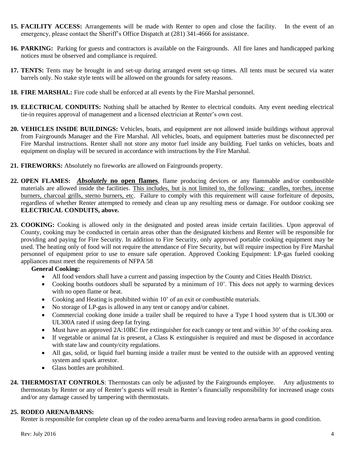- **15. FACILITY ACCESS:** Arrangements will be made with Renter to open and close the facility. In the event of an emergency, please contact the Sheriff's Office Dispatch at (281) 341-4666 for assistance.
- **16. PARKING:** Parking for guests and contractors is available on the Fairgrounds. All fire lanes and handicapped parking notices must be observed and compliance is required.
- **17. TENTS:** Tents may be brought in and set-up during arranged event set-up times. All tents must be secured via water barrels only. No stake style tents will be allowed on the grounds for safety reasons.
- **18. FIRE MARSHAL:** Fire code shall be enforced at all events by the Fire Marshal personnel.
- **19. ELECTRICAL CONDUITS:** Nothing shall be attached by Renter to electrical conduits. Any event needing electrical tie-in requires approval of management and a licensed electrician at Renter's own cost.
- **20. VEHICLES INSIDE BUILDINGS:** Vehicles, boats, and equipment are not allowed inside buildings without approval from Fairgrounds Manager and the Fire Marshal. All vehicles, boats, and equipment batteries must be disconnected per Fire Marshal instructions. Renter shall not store any motor fuel inside any building. Fuel tanks on vehicles, boats and equipment on display will be secured in accordance with instructions by the Fire Marshal.
- **21. FIREWORKS:** Absolutely no fireworks are allowed on Fairgrounds property.
- **22. OPEN FLAMES:** *Absolutely* **no open flames**, flame producing devices or any flammable and/or combustible materials are allowed inside the facilities. This includes, but is not limited to, the following: candles, torches, incense burners, charcoal grills, sterno burners, etc. Failure to comply with this requirement will cause forfeiture of deposits, regardless of whether Renter attempted to remedy and clean up any resulting mess or damage. For outdoor cooking see **ELECTRICAL CONDUITS, above.**
- **23. COOKING:** Cooking is allowed only in the designated and posted areas inside certain facilities. Upon approval of County, cooking may be conducted in certain areas other than the designated kitchens and Renter will be responsible for providing and paying for Fire Security. In addition to Fire Security, only approved portable cooking equipment may be used. The heating only of food will not require the attendance of Fire Security, but will require inspection by Fire Marshal personnel of equipment prior to use to ensure safe operation. Approved Cooking Equipment: LP-gas fueled cooking appliances must meet the requirements of NFPA 58

#### **General Cooking:**

- All food vendors shall have a current and passing inspection by the County and Cities Health District.
- Cooking booths outdoors shall be separated by a minimum of 10'. This does not apply to warming devices with no open flame or heat.
- Cooking and Heating is prohibited within 10' of an exit or combustible materials.
- No storage of LP-gas is allowed in any tent or canopy and/or cabinet.
- Commercial cooking done inside a trailer shall be required to have a Type I hood system that is UL300 or UL300A rated if using deep fat frying.
- Must have an approved 2A:10BC fire extinguisher for each canopy or tent and within 30' of the cooking area.
- If vegetable or animal fat is present, a Class K extinguisher is required and must be disposed in accordance with state law and county/city regulations.
- All gas, solid, or liquid fuel burning inside a trailer must be vented to the outside with an approved venting system and spark arrestor.
- Glass bottles are prohibited.
- **24. THERMOSTAT CONTROLS**: Thermostats can only be adjusted by the Fairgrounds employee. Any adjustments to thermostats by Renter or any of Renter's guests will result in Renter's financially responsibility for increased usage costs and/or any damage caused by tampering with thermostats.

#### **25. RODEO ARENA/BARNS:**

Renter is responsible for complete clean up of the rodeo arena/barns and leaving rodeo arena/barns in good condition.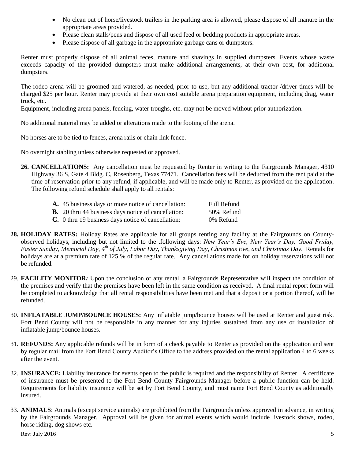- No clean out of horse/livestock trailers in the parking area is allowed, please dispose of all manure in the appropriate areas provided.
- Please clean stalls/pens and dispose of all used feed or bedding products in appropriate areas.
- Please dispose of all garbage in the appropriate garbage cans or dumpsters.

Renter must properly dispose of all animal feces, manure and shavings in supplied dumpsters. Events whose waste exceeds capacity of the provided dumpsters must make additional arrangements, at their own cost, for additional dumpsters.

The rodeo arena will be groomed and watered, as needed, prior to use, but any additional tractor /driver times will be charged \$25 per hour. Renter may provide at their own cost suitable arena preparation equipment, including drag, water truck, etc.

Equipment, including arena panels, fencing, water troughs, etc. may not be moved without prior authorization.

No additional material may be added or alterations made to the footing of the arena.

No horses are to be tied to fences, arena rails or chain link fence.

No overnight stabling unless otherwise requested or approved.

**26. CANCELLATIONS:** Any cancellation must be requested by Renter in writing to the Fairgrounds Manager, 4310 Highway 36 S, Gate 4 Bldg. C, Rosenberg, Texas 77471. Cancellation fees will be deducted from the rent paid at the time of reservation prior to any refund, if applicable, and will be made only to Renter, as provided on the application. The following refund schedule shall apply to all rentals:

| A. 45 business days or more notice of cancellation:        | Full Refund |
|------------------------------------------------------------|-------------|
| <b>B.</b> 20 thru 44 business days notice of cancellation: | 50% Refund  |
| <b>C.</b> 0 thru 19 business days notice of cancellation:  | 0% Refund   |

- **28. HOLIDAY RATES:** Holiday Rates are applicable for all groups renting any facility at the Fairgrounds on Countyobserved holidays, including but not limited to the .following days: *New Year's Eve, New Year's Day, Good Friday, Easter Sunday, Memorial Day, 4th of July, Labor Day, Thanksgiving Day, Christmas Eve, and Christmas Day*. Rentals for holidays are at a premium rate of 125 % of the regular rate. Any cancellations made for on holiday reservations will not be refunded.
- 29. **FACILITY MONITOR***:* Upon the conclusion of any rental, a Fairgrounds Representative will inspect the condition of the premises and verify that the premises have been left in the same condition as received. A final rental report form will be completed to acknowledge that all rental responsibilities have been met and that a deposit or a portion thereof, will be refunded.
- 30. **INFLATABLE JUMP/BOUNCE HOUSES:** Any inflatable jump/bounce houses will be used at Renter and guest risk. Fort Bend County will not be responsible in any manner for any injuries sustained from any use or installation of inflatable jump/bounce houses.
- 31. **REFUNDS:** Any applicable refunds will be in form of a check payable to Renter as provided on the application and sent by regular mail from the Fort Bend County Auditor's Office to the address provided on the rental application 4 to 6 weeks after the event.
- 32. **INSURANCE:** Liability insurance for events open to the public is required and the responsibility of Renter. A certificate of insurance must be presented to the Fort Bend County Fairgrounds Manager before a public function can be held. Requirements for liability insurance will be set by Fort Bend County, and must name Fort Bend County as additionally insured.
- 33. **ANIMALS**: Animals (except service animals) are prohibited from the Fairgrounds unless approved in advance, in writing by the Fairgrounds Manager. Approval will be given for animal events which would include livestock shows, rodeo, horse riding, dog shows etc.